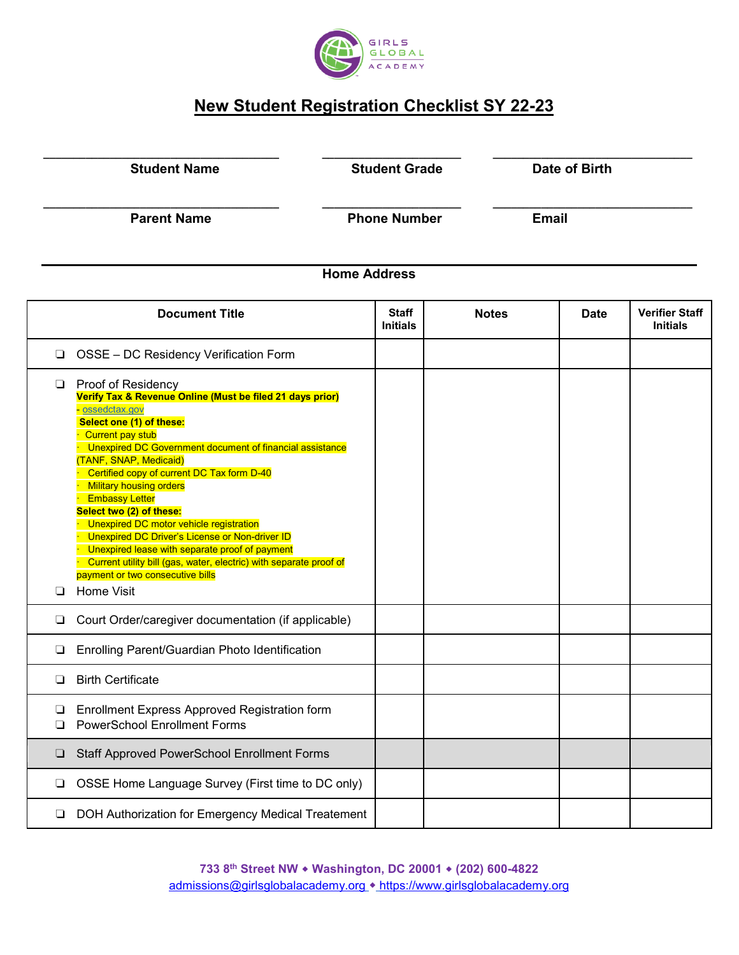

## **New Student Registration Checklist SY 22-23**

**\_\_\_\_\_\_\_\_\_\_\_\_\_\_\_\_\_\_\_\_\_\_\_\_\_\_\_\_\_\_\_\_\_\_\_\_\_\_\_ \_\_\_\_\_\_\_\_\_\_\_\_\_\_\_\_\_\_\_\_\_\_\_ \_\_\_\_\_\_\_\_\_\_\_\_\_\_\_\_\_\_\_\_\_\_\_\_\_\_\_\_\_\_\_\_\_**

**\_\_\_\_\_\_\_\_\_\_\_\_\_\_\_\_\_\_\_\_\_\_\_\_\_\_\_\_\_\_\_\_\_\_\_\_\_\_\_ \_\_\_\_\_\_\_\_\_\_\_\_\_\_\_\_\_\_\_\_\_\_\_ \_\_\_\_\_\_\_\_\_\_\_\_\_\_\_\_\_\_\_\_\_\_\_\_\_\_\_\_\_\_\_\_\_** 

**Student Name Student Grade** Date of Birth

**Parent Name**  Phone Number **Email** 

## **Home Address**

|        | <b>Document Title</b>                                                                                                                                                                                                                                                                                                                                                                                                                                                                                                                                                                                                                                                   | <b>Staff</b><br><b>Initials</b> | <b>Notes</b> | <b>Date</b> | <b>Verifier Staff</b><br><b>Initials</b> |
|--------|-------------------------------------------------------------------------------------------------------------------------------------------------------------------------------------------------------------------------------------------------------------------------------------------------------------------------------------------------------------------------------------------------------------------------------------------------------------------------------------------------------------------------------------------------------------------------------------------------------------------------------------------------------------------------|---------------------------------|--------------|-------------|------------------------------------------|
| ❏      | OSSE - DC Residency Verification Form                                                                                                                                                                                                                                                                                                                                                                                                                                                                                                                                                                                                                                   |                                 |              |             |                                          |
| $\Box$ | <b>Proof of Residency</b><br>Verify Tax & Revenue Online (Must be filed 21 days prior)<br>ossedctax.gov<br>Select one (1) of these:<br><b>Current pay stub</b><br>Unexpired DC Government document of financial assistance<br>(TANF, SNAP, Medicaid)<br>Certified copy of current DC Tax form D-40<br><b>Military housing orders</b><br><b>Embassy Letter</b><br>Select two (2) of these:<br><b>Unexpired DC motor vehicle registration</b><br>Unexpired DC Driver's License or Non-driver ID<br>Unexpired lease with separate proof of payment<br>Current utility bill (gas, water, electric) with separate proof of<br>payment or two consecutive bills<br>Home Visit |                                 |              |             |                                          |
| ⊔      | Court Order/caregiver documentation (if applicable)                                                                                                                                                                                                                                                                                                                                                                                                                                                                                                                                                                                                                     |                                 |              |             |                                          |
| ❏      | Enrolling Parent/Guardian Photo Identification                                                                                                                                                                                                                                                                                                                                                                                                                                                                                                                                                                                                                          |                                 |              |             |                                          |
| □      | <b>Birth Certificate</b>                                                                                                                                                                                                                                                                                                                                                                                                                                                                                                                                                                                                                                                |                                 |              |             |                                          |
| ❏<br>□ | <b>Enrollment Express Approved Registration form</b><br><b>PowerSchool Enrollment Forms</b>                                                                                                                                                                                                                                                                                                                                                                                                                                                                                                                                                                             |                                 |              |             |                                          |
| ❏      | <b>Staff Approved PowerSchool Enrollment Forms</b>                                                                                                                                                                                                                                                                                                                                                                                                                                                                                                                                                                                                                      |                                 |              |             |                                          |
| ❏      | OSSE Home Language Survey (First time to DC only)                                                                                                                                                                                                                                                                                                                                                                                                                                                                                                                                                                                                                       |                                 |              |             |                                          |
| ❏      | DOH Authorization for Emergency Medical Treatement                                                                                                                                                                                                                                                                                                                                                                                                                                                                                                                                                                                                                      |                                 |              |             |                                          |